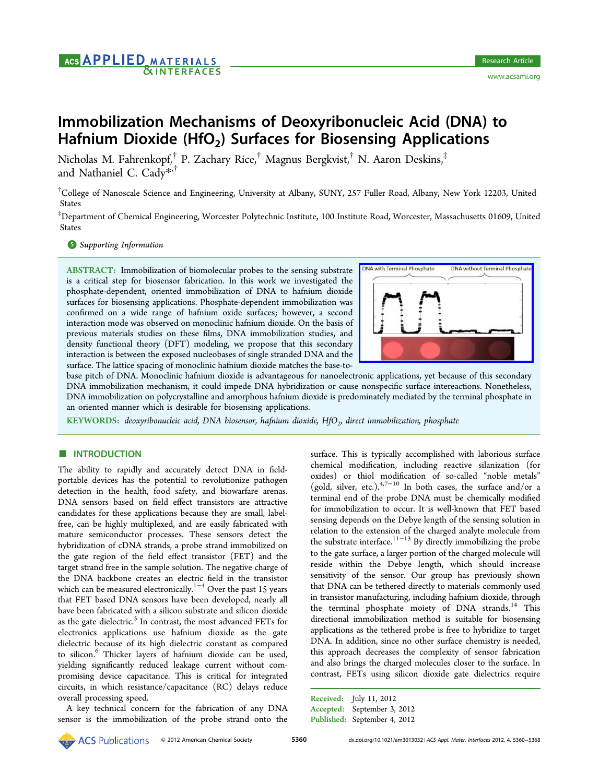# ACS **APPLIED** MATERIALS<br>**EXINTERFACES**

# Immobilization Mechanisms of Deoxyribonucleic Acid (DNA) to Hafnium Dioxide (HfO<sub>2</sub>) Surfaces for Biosensing Applications

Nicholas M. Fahrenkopf,† P. Zachary Rice,† Magnus Bergkvist,† N. Aaron Deskins,‡ and Nathaniel C. Cady\*,†

† College of Nanoscale Scien[ce](#page-7-0) and Engineering, University at Albany, SUNY, 257 Fuller Road, Albany, New York 12203, United States

‡ Department of Chemical Engineering, Worcester Polytechnic Institute, 100 Institute Road, Worcester, Massachusetts 01609, United States

# **S** Supporting Information

[AB](#page-7-0)STRACT: [Immobilizatio](#page-7-0)n of biomolecular probes to the sensing substrate is a critical step for biosensor fabrication. In this work we investigated the phosphate-dependent, oriented immobilization of DNA to hafnium dioxide surfaces for biosensing applications. Phosphate-dependent immobilization was confirmed on a wide range of hafnium oxide surfaces; however, a second interaction mode was observed on monoclinic hafnium dioxide. On the basis of previous materials studies on these films, DNA immobilization studies, and density functional theory (DFT) modeling, we propose that this secondary interaction is between the exposed nucleobases of single stranded DNA and the surface. The lattice spacing of monoclinic hafnium dioxide matches the base-to-



base pitch of DNA. Monoclinic hafnium dioxide is advantageous for nanoelectr[onic applications, yet because of this secondary](http://pubs.acs.org/action/showImage?doi=10.1021/am3013032&iName=master.img-000.jpg&w=177&h=98) DNA immobilization mechanism, it could impede DNA hybridization or cause nonspecific surface intereactions. Nonetheless, DNA immobilization on polycrystalline and amorphous hafnium dioxide is predominately mediated by the terminal phosphate in an oriented manner which is desirable for biosensing applications.

KEYWORDS: deoxyribonucleic acid, DNA biosensor, hafnium dioxide,  $HfO<sub>2</sub>$ , direct immobilization, phosphate

## **ENTRODUCTION**

The ability to rapidly and accurately detect DNA in fieldportable devices has the potential to revolutionize pathogen detection in the health, food safety, and biowarfare arenas. DNA sensors based on field effect transistors are attractive candidates for these applications because they are small, labelfree, can be highly multiplexed, and are easily fabricated with mature semiconductor processes. These sensors detect the hybridization of cDNA strands, a probe strand immobilized on the gate region of the field effect transistor (FET) and the target strand free in the sample solution. The negative charge of the DNA backbone creates an electric field in the transistor which can be measured electronically.<sup>1−4</sup> Over the past 15 years that FET based DNA sensors have been developed, nearly all have been fabricated with a silicon su[b](#page-7-0)s[tr](#page-7-0)ate and silicon dioxide as the gate dielectric.<sup>5</sup> In contrast, the most advanced FETs for electronics applications use hafnium dioxide as the gate dielectric because of its high dielectric constant as compared to silicon.<sup>6</sup> Thicker layers of hafnium dioxide can be used, yielding significantly reduced leakage current without compromising device capacitance. This is critical for integrated circuits, in which resistance/capacitance (RC) delays reduce overall processing speed.

A key technical concern for the fabrication of any DNA sensor is the immobilization of the probe strand onto the

surface. This is typically accomplished with laborious surface chemical modification, including reactive silanization (for oxides) or thiol modification of so-called "noble metals" (gold, silver, etc.).<sup>4,7-10</sup> In both cases, the surface and/or a terminal end of the probe DNA must be chemically modified for immobilization [to oc](#page-7-0)cur. It is well-known that FET based sensing depends on the Debye length of the sensing solution in relation to the extension of the charged analyte molecule from the substrate interface.<sup>11−13</sup> By directly immobilizing the probe to the gate surface, a larger portion of the charged molecule will reside within the [Debye](#page-7-0) length, which should increase sensitivity of the sensor. Our group has previously shown that DNA can be tethered directly to materials commonly used in transistor manufacturing, including hafnium dioxide, through the terminal phosphate moiety of DNA strands.<sup>14</sup> This directional immobilization method is suitable for biosensing applications as the tethered probe is free to hybridize [to](#page-7-0) target DNA. In addition, since no other surface chemistry is needed, this approach decreases the complexity of sensor fabrication and also brings the charged molecules closer to the surface. In contrast, FETs using silicon dioxide gate dielectrics require

Received: July 11, 2012 Accepted: September 3, 2012 Published: September 4, 2012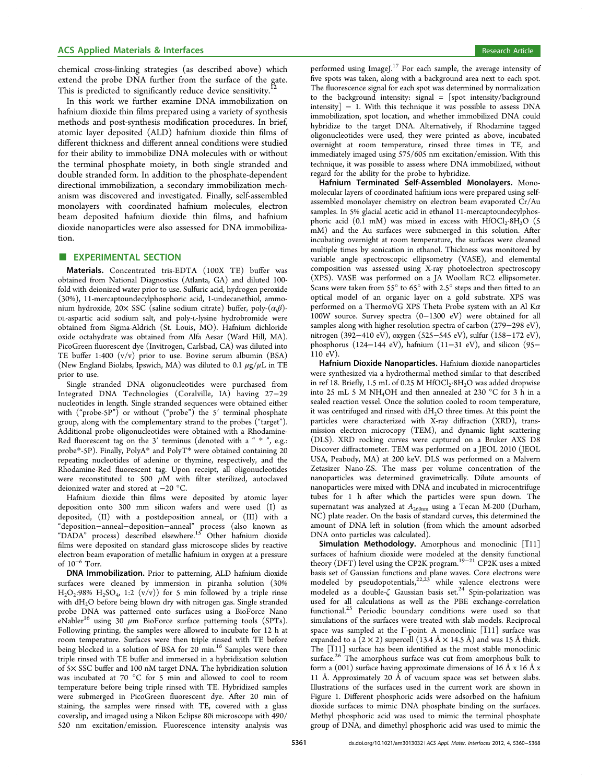chemical cross-linking strategies (as described above) which extend the probe DNA further from the surface of the gate. This is predicted to significantly reduce device sensitivity.

In this work we further examine DNA immobilization on hafnium dioxide thin films prepared using a variety of syn[the](#page-7-0)sis methods and post-synthesis modification procedures. In brief, atomic layer deposited (ALD) hafnium dioxide thin films of different thickness and different anneal conditions were studied for their ability to immobilize DNA molecules with or without the terminal phosphate moiety, in both single stranded and double stranded form. In addition to the phosphate-dependent directional immobilization, a secondary immobilization mechanism was discovered and investigated. Finally, self-assembled monolayers with coordinated hafnium molecules, electron beam deposited hafnium dioxide thin films, and hafnium dioxide nanoparticles were also assessed for DNA immobilization.

#### **EXPERIMENTAL SECTION**

Materials. Concentrated tris-EDTA (100X TE) buffer was obtained from National Diagnostics (Atlanta, GA) and diluted 100 fold with deionized water prior to use. Sulfuric acid, hydrogen peroxide (30%), 11-mercaptoundecylphosphoric acid, 1-undecanethiol, ammonium hydroxide, 20× SSC (saline sodium citrate) buffer, poly- $(\alpha,\beta)$ -DL-aspartic acid sodium salt, and poly-L-lysine hydrobromide were obtained from Sigma-Aldrich (St. Louis, MO). Hafnium dichloride oxide octahydrate was obtained from Alfa Aesar (Ward Hill, MA). PicoGreen fluorescent dye (Invitrogen, Carlsbad, CA) was diluted into TE buffer 1:400 (v/v) prior to use. Bovine serum albumin (BSA) (New England Biolabs, Ipswich, MA) was diluted to 0.1  $\mu$ g/ $\mu$ L in TE prior to use.

Single stranded DNA oligonucleotides were purchased from Integrated DNA Technologies (Coralville, IA) having 27−29 nucleotides in length. Single stranded sequences were obtained either with ("probe-5P") or without ("probe") the 5' terminal phosphate group, along with the complementary strand to the probes ("target"). Additional probe oligonucleotides were obtained with a Rhodamine-Red fluorescent tag on the 3' terminus (denoted with a " \* ", e.g.: probe\*-5P). Finally, PolyA\* and PolyT\* were obtained containing 20 repeating nucleotides of adenine or thymine, respectively, and the Rhodamine-Red fluorescent tag. Upon receipt, all oligonucleotides were reconstituted to 500  $\mu$ M with filter sterilized, autoclaved deionized water and stored at −20 °C.

Hafnium dioxide thin films were deposited by atomic layer deposition onto 300 mm silicon wafers and were used (I) as deposited, (II) with a postdeposition anneal, or (III) with a "deposition−anneal−deposition−anneal" process (also known as "DADA" process) described elsewhere.<sup>15</sup> Other hafnium dioxide films were deposited on standard glass microscope slides by reactive electron beam evaporation of metallic haf[niu](#page-7-0)m in oxygen at a pressure of 10<sup>−</sup><sup>6</sup> Torr.

DNA Immobilization. Prior to patterning, ALD hafnium dioxide surfaces were cleaned by immersion in piranha solution (30%  $H<sub>2</sub>O<sub>2</sub>:98\% H<sub>2</sub>SO<sub>4</sub>, 1:2 (v/v))$  for 5 min followed by a triple rinse with  $dH_2O$  before being blown dry with nitrogen gas. Single stranded probe DNA was patterned onto surfaces using a BioForce Nano eNabler<sup>16</sup> using 30  $\mu$ m BioForce surface patterning tools (SPTs). Following printing, the samples were allowed to incubate for 12 h at room t[em](#page-7-0)perature. Surfaces were then triple rinsed with TE before being blocked in a solution of BSA for 20 min.<sup>16</sup> Samples were then triple rinsed with TE buffer and immersed in a hybridization solution of 5× SSC buffer and 100 nM target DNA. The [hy](#page-7-0)bridization solution was incubated at 70 °C for 5 min and allowed to cool to room temperature before being triple rinsed with TE. Hybridized samples were submerged in PicoGreen fluorescent dye. After 20 min of staining, the samples were rinsed with TE, covered with a glass coverslip, and imaged using a Nikon Eclipse 80i microscope with 490/ 520 nm excitation/emission. Fluorescence intensity analysis was

performed using ImageJ.<sup>17</sup> For each sample, the average intensity of five spots was taken, along with a background area next to each spot. The fluorescence signal f[or](#page-7-0) each spot was determined by normalization to the background intensity: signal  $=$  [spot intensity/background intensity] − 1. With this technique it was possible to assess DNA immobilization, spot location, and whether immobilized DNA could hybridize to the target DNA. Alternatively, if Rhodamine tagged oligonucleotides were used, they were printed as above, incubated overnight at room temperature, rinsed three times in TE, and immediately imaged using 575/605 nm excitation/emission. With this technique, it was possible to assess where DNA immobilized, without regard for the ability for the probe to hybridize.

Hafnium Terminated Self-Assembled Monolayers. Monomolecular layers of coordinated hafnium ions were prepared using selfassembled monolayer chemistry on electron beam evaporated Cr/Au samples. In 5% glacial acetic acid in ethanol 11-mercaptoundecylphosphoric acid (0.1 mM) was mixed in excess with  $HfOCl<sub>2</sub>·8H<sub>2</sub>O$  (5 mM) and the Au surfaces were submerged in this solution. After incubating overnight at room temperature, the surfaces were cleaned multiple times by sonication in ethanol. Thickness was monitored by variable angle spectroscopic ellipsometry (VASE), and elemental composition was assessed using X-ray photoelectron spectroscopy (XPS). VASE was performed on a JA Woollam RC2 ellipsometer. Scans were taken from 55° to 65° with 2.5° steps and then fitted to an optical model of an organic layer on a gold substrate. XPS was performed on a ThermoVG XPS Theta Probe system with an Al Kα 100W source. Survey spectra (0−1300 eV) were obtained for all samples along with higher resolution spectra of carbon (279−298 eV), nitrogen (392−410 eV), oxygen (525−545 eV), sulfur (158−172 eV), phosphorus (124−144 eV), hafnium (11−31 eV), and silicon (95− 110 eV).

Hafnium Dioxide Nanoparticles. Hafnium dioxide nanoparticles were synthesized via a hydrothermal method similar to that described in ref 18. Briefly, 1.5 mL of 0.25 M HfOCl<sub>2</sub>·8H<sub>2</sub>O was added dropwise into 25 mL 5 M NH4OH and then annealed at 230 °C for 3 h in a sealed reaction vessel. Once the solution cooled to room temperature, it was [ce](#page-7-0)ntrifuged and rinsed with  $dH<sub>2</sub>O$  three times. At this point the particles were characterized with X-ray diffraction (XRD), transmission electron microcopy (TEM), and dynamic light scattering (DLS). XRD rocking curves were captured on a Bruker AXS D8 Discover diffractometer. TEM was performed on a JEOL 2010 (JEOL USA, Peabody, MA) at 200 keV. DLS was performed on a Malvern Zetasizer Nano-ZS. The mass per volume concentration of the nanoparticles was determined gravimetrically. Dilute amounts of nanoparticles were mixed with DNA and incubated in microcentrifuge tubes for 1 h after which the particles were spun down. The supernatant was analyzed at  $A_{260nm}$  using a Tecan M-200 (Durham, NC) plate reader. On the basis of standard curves, this determined the amount of DNA left in solution (from which the amount adsorbed DNA onto particles was calculated).

Simulation Methodology. Amorphous and monoclinic  $\overline{[111]}$ surfaces of hafnium dioxide were modeled at the density functional theory (DFT) level using the CP2K program.<sup>19−21</sup> CP2K uses a mixed basis set of Gaussian functions and plane waves. Core electrons were modeled by pseudopot[en](#page-7-0)tials, $2^{2,23^*}$  while [va](#page-7-0)lence electrons were modeled as a double-ζ Gaussian basis set.<sup>24</sup> Spin-polarization was used for all calculations as w[ell a](#page-7-0)s the PBE exchange-correlation functional.<sup>25</sup> Periodic boundary conditio[ns](#page-7-0) were used so that simulations of the surfaces were treated with slab models. Reciprocal space was [sa](#page-7-0)mpled at the  $\Gamma$ -point. A monoclinic  $\left[\overline{1}11\right]$  surface was expanded to a  $(2 \times 2)$  supercell  $(13.4 \text{ Å} \times 14.5 \text{ Å})$  and was 15 Å thick. The  $[T11]$  surface has been identified as the most stable monoclinic surface.<sup>26</sup> The amorphous surface was cut from amorphous bulk to form a (001) surface having approximate dimensions of 16 Å x 16 Å x 11 Å. [Ap](#page-7-0)proximately 20 Å of vacuum space was set between slabs. Illustrations of the surfaces used in the current work are shown in Figure 1. Different phosphoric acids were adsorbed on the hafnium dioxide surfaces to mimic DNA phosphate binding on the surfaces. Methyl phosphoric acid was used to mimic the terminal phosphate group [of](#page-2-0) DNA, and dimethyl phosphoric acid was used to mimic the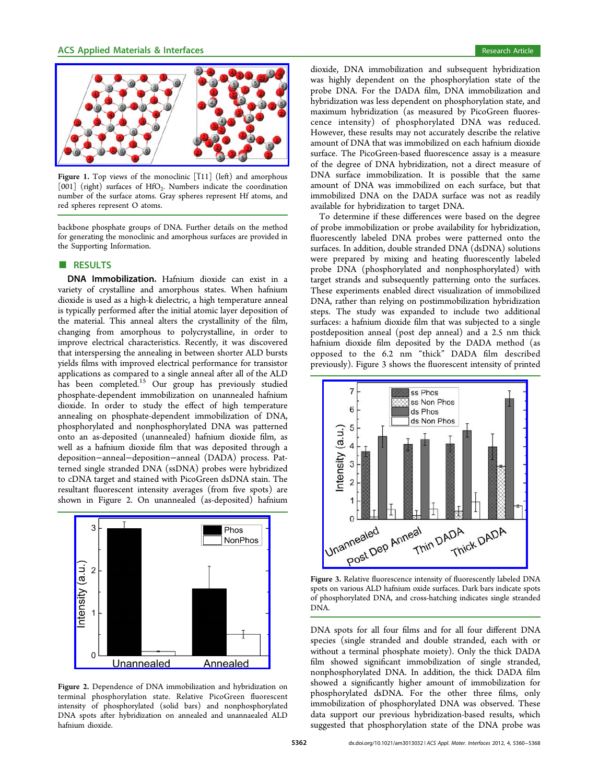<span id="page-2-0"></span>

Figure 1. Top views of the monoclinic [111] (left) and amorphous [001] (right) surfaces of HfO<sub>2</sub>. Numbers indicate the coordination number of the surface atoms. Gray spheres represent Hf atoms, and red spheres represent O atoms.

backbone phosphate groups of DNA. Further details on the method for generating the monoclinic and amorphous surfaces are provided in the Supporting Information.

#### ■ RESULTS

[DNA](#page-7-0) [Immobilization](#page-7-0). Hafnium dioxide can exist in a variety of crystalline and amorphous states. When hafnium dioxide is used as a high-k dielectric, a high temperature anneal is typically performed after the initial atomic layer deposition of the material. This anneal alters the crystallinity of the film, changing from amorphous to polycrystalline, in order to improve electrical characteristics. Recently, it was discovered that interspersing the annealing in between shorter ALD bursts yields films with improved electrical performance for transistor applications as compared to a single anneal after all of the ALD has been completed.<sup>15</sup> Our group has previously studied phosphate-dependent immobilization on unannealed hafnium dioxide. In order to [st](#page-7-0)udy the effect of high temperature annealing on phosphate-dependent immobilization of DNA, phosphorylated and nonphosphorylated DNA was patterned onto an as-deposited (unannealed) hafnium dioxide film, as well as a hafnium dioxide film that was deposited through a deposition−anneal−deposition−anneal (DADA) process. Patterned single stranded DNA (ssDNA) probes were hybridized to cDNA target and stained with PicoGreen dsDNA stain. The resultant fluorescent intensity averages (from five spots) are shown in Figure 2. On unannealed (as-deposited) hafnium



Figure 2. [Dependence of DNA immobilization and hybridizati](http://pubs.acs.org/action/showImage?doi=10.1021/am3013032&iName=master.img-002.png&w=199&h=155)on on terminal phosphorylation state. Relative PicoGreen fluorescent intensity of phosphorylated (solid bars) and nonphosphorylated DNA spots after hybridization on annealed and unannaealed ALD hafnium dioxide.

dioxide, DNA immobilization and subsequent hybridization was highly dependent on the phosphorylation state of the probe DNA. For the DADA film, DNA immobilization and hybridization was less dependent on phosphorylation state, and maximum hybridization (as measured by PicoGreen fluorescence intensity) of phosphorylated DNA was reduced. However, these results may not accurately describe the relative amount of DNA that was immobilized on each hafnium dioxide surface. The PicoGreen-based fluorescence assay is a measure of the degree of DNA hybridization, not a direct measure of DNA surface immobilization. It is possible that the same amount of DNA was immobilized on each surface, but that immobilized DNA on the DADA surface was not as readily available for hybridization to target DNA.

To determine if these differences were based on the degree of probe immobilization or probe availability for hybridization, fluorescently labeled DNA probes were patterned onto the surfaces. In addition, double stranded DNA (dsDNA) solutions were prepared by mixing and heating fluorescently labeled probe DNA (phosphorylated and nonphosphorylated) with target strands and subsequently patterning onto the surfaces. These experiments enabled direct visualization of immobilized DNA, rather than relying on postimmobilization hybridization steps. The study was expanded to include two additional surfaces: a hafnium dioxide film that was subjected to a single postdeposition anneal (post dep anneal) and a 2.5 nm thick hafnium dioxide film deposited by the DADA method (as opposed to the 6.2 nm "thick" DADA film described previously). Figure 3 shows the fluorescent intensity of printed



spot[s on various ALD hafnium oxide surfaces. Dark bars indicate s](http://pubs.acs.org/action/showImage?doi=10.1021/am3013032&iName=master.img-003.jpg&w=209&h=192)pots of phosphorylated DNA, and cross-hatching indicates single stranded DNA.

DNA spots for all four films and for all four different DNA species (single stranded and double stranded, each with or without a terminal phosphate moiety). Only the thick DADA film showed significant immobilization of single stranded, nonphosphorylated DNA. In addition, the thick DADA film showed a significantly higher amount of immobilization for phosphorylated dsDNA. For the other three films, only immobilization of phosphorylated DNA was observed. These data support our previous hybridization-based results, which suggested that phosphorylation state of the DNA probe was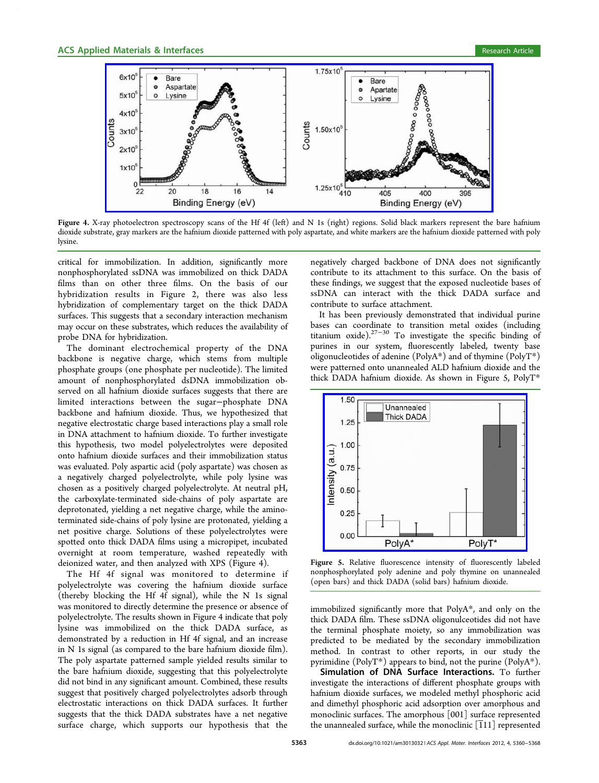

Figure 4. X-ra[y photoelectron spectroscopy scans of the Hf 4f \(left\) and N 1s \(right\) regions. Solid black markers represent the](http://pubs.acs.org/action/showImage?doi=10.1021/am3013032&iName=master.img-004.jpg&w=400&h=150) bare hafnium dioxide substrate, gray markers are the hafnium dioxide patterned with poly aspartate, and white markers are the hafnium dioxide patterned with poly lysine.

critical for immobilization. In addition, significantly more nonphosphorylated ssDNA was immobilized on thick DADA films than on other three films. On the basis of our hybridization results in Figure 2, there was also less hybridization of complementary target on the thick DADA surfaces. This suggests that a second[ar](#page-2-0)y interaction mechanism may occur on these substrates, which reduces the availability of probe DNA for hybridization.

The dominant electrochemical property of the DNA backbone is negative charge, which stems from multiple phosphate groups (one phosphate per nucleotide). The limited amount of nonphosphorylated dsDNA immobilization observed on all hafnium dioxide surfaces suggests that there are limited interactions between the sugar−phosphate DNA backbone and hafnium dioxide. Thus, we hypothesized that negative electrostatic charge based interactions play a small role in DNA attachment to hafnium dioxide. To further investigate this hypothesis, two model polyelectrolytes were deposited onto hafnium dioxide surfaces and their immobilization status was evaluated. Poly aspartic acid (poly aspartate) was chosen as a negatively charged polyelectrolyte, while poly lysine was chosen as a positively charged polyelectrolyte. At neutral pH, the carboxylate-terminated side-chains of poly aspartate are deprotonated, yielding a net negative charge, while the aminoterminated side-chains of poly lysine are protonated, yielding a net positive charge. Solutions of these polyelectrolytes were spotted onto thick DADA films using a micropipet, incubated overnight at room temperature, washed repeatedly with deionized water, and then analyzed with XPS (Figure 4).

The Hf 4f signal was monitored to determine if polyelectrolyte was covering the hafnium dioxide surface (thereby blocking the Hf 4f signal), while the N 1s signal was monitored to directly determine the presence or absence of polyelectrolyte. The results shown in Figure 4 indicate that poly lysine was immobilized on the thick DADA surface, as demonstrated by a reduction in Hf 4f signal, and an increase in N 1s signal (as compared to the bare hafnium dioxide film). The poly aspartate patterned sample yielded results similar to the bare hafnium dioxide, suggesting that this polyelectrolyte did not bind in any significant amount. Combined, these results suggest that positively charged polyelectrolytes adsorb through electrostatic interactions on thick DADA surfaces. It further suggests that the thick DADA substrates have a net negative surface charge, which supports our hypothesis that the

negatively charged backbone of DNA does not significantly contribute to its attachment to this surface. On the basis of these findings, we suggest that the exposed nucleotide bases of ssDNA can interact with the thick DADA surface and contribute to surface attachment.

It has been previously demonstrated that individual purine bases can coordinate to transition metal oxides (including titanium oxide).<sup>27-30</sup> To investigate the specific binding of purines in our system, fluorescently labeled, twenty base oligonucleotides [of](#page-7-0) [ad](#page-8-0)enine (PolyA\*) and of thymine (PolyT\*) were patterned onto unannealed ALD hafnium dioxide and the thick DADA hafnium dioxide. As shown in Figure 5, PolyT\*



Figure 5. Relative fluorescence intensity of fluorescently labeled non[phosphorylated poly adenine and poly thymine on unanne](http://pubs.acs.org/action/showImage?doi=10.1021/am3013032&iName=master.img-005.jpg&w=208&h=160)aled (open bars) and thick DADA (solid bars) hafnium dioxide.

immobilized significantly more that PolyA\*, and only on the thick DADA film. These ssDNA oligonulceotides did not have the terminal phosphate moiety, so any immobilization was predicted to be mediated by the secondary immobilization method. In contrast to other reports, in our study the pyrimidine (PolyT\*) appears to bind, not the purine (PolyA\*).

Simulation of DNA Surface Interactions. To further investigate the interactions of different phosphate groups with hafnium dioxide surfaces, we modeled methyl phosphoric acid and dimethyl phosphoric acid adsorption over amorphous and monoclinic surfaces. The amorphous [001] surface represented the unannealed surface, while the monoclinic  $\left[111\right]$  represented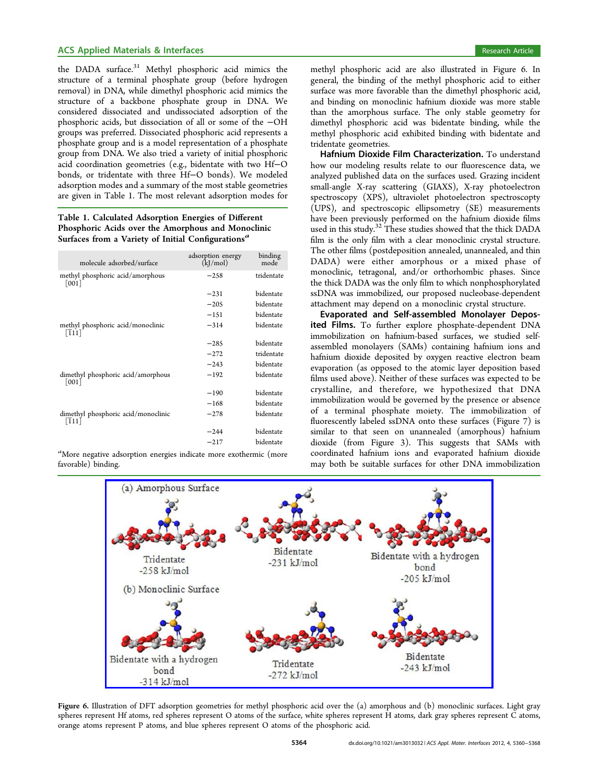<span id="page-4-0"></span>the DADA surface.<sup>31</sup> Methyl phosphoric acid mimics the structure of a terminal phosphate group (before hydrogen removal) in DNA, [whi](#page-8-0)le dimethyl phosphoric acid mimics the structure of a backbone phosphate group in DNA. We considered dissociated and undissociated adsorption of the phosphoric acids, but dissociation of all or some of the −OH groups was preferred. Dissociated phosphoric acid represents a phosphate group and is a model representation of a phosphate group from DNA. We also tried a variety of initial phosphoric acid coordination geometries (e.g., bidentate with two Hf−O bonds, or tridentate with three Hf−O bonds). We modeled adsorption modes and a summary of the most stable geometries are given in Table 1. The most relevant adsorption modes for

## Table 1. Calculated Adsorption Energies of Different Phosphoric Acids over the Amorphous and Monoclinic Surfaces from a Variety of Initial Configurations<sup> $a$ </sup>

| molecule adsorbed/surface                               | adsorption energy<br>(kJ/mol) | binding<br>mode |
|---------------------------------------------------------|-------------------------------|-----------------|
| methyl phosphoric acid/amorphous<br>$\lceil 001 \rceil$ | $-258$                        | tridentate      |
|                                                         | $-231$                        | bidentate       |
|                                                         | $-205$                        | bidentate       |
|                                                         | $-151$                        | bidentate       |
| methyl phosphoric acid/monoclinic<br>$[111]$            | $-314$                        | bidentate       |
|                                                         | $-285$                        | bidentate       |
|                                                         | $-272$                        | tridentate      |
|                                                         | $-243$                        | bidentate       |
| dimethyl phosphoric acid/amorphous<br>[001]             | $-192$                        | bidentate       |
|                                                         | $-190$                        | bidentate       |
|                                                         | $-168$                        | bidentate       |
| dimethyl phosphoric acid/monoclinic<br>$[111]$          | $-278$                        | bidentate       |
|                                                         | $-244$                        | bidentate       |
|                                                         | $-217$                        | bidentate       |

a<br>More negative adsorption energies indicate more exothermic (more favorable) binding.

methyl phosphoric acid are also illustrated in Figure 6. In general, the binding of the methyl phosphoric acid to either surface was more favorable than the dimethyl phosphoric acid, and binding on monoclinic hafnium dioxide was more stable than the amorphous surface. The only stable geometry for dimethyl phosphoric acid was bidentate binding, while the methyl phosphoric acid exhibited binding with bidentate and tridentate geometries.

Hafnium Dioxide Film Characterization. To understand how our modeling results relate to our fluorescence data, we analyzed published data on the surfaces used. Grazing incident small-angle X-ray scattering (GIAXS), X-ray photoelectron spectroscopy (XPS), ultraviolet photoelectron spectroscopty (UPS), and spectroscopic ellipsometry (SE) measurements have been previously performed on the hafnium dioxide films used in this study.<sup>32</sup> These studies showed that the thick DADA film is the only film with a clear monoclinic crystal structure. The other films ([po](#page-8-0)stdeposition annealed, unannealed, and thin DADA) were either amorphous or a mixed phase of monoclinic, tetragonal, and/or orthorhombic phases. Since the thick DADA was the only film to which nonphosphorylated ssDNA was immobilized, our proposed nucleobase-dependent attachment may depend on a monoclinic crystal structure.

Evaporated and Self-assembled Monolayer Deposited Films. To further explore phosphate-dependent DNA immobilization on hafnium-based surfaces, we studied selfassembled monolayers (SAMs) containing hafnium ions and hafnium dioxide deposited by oxygen reactive electron beam evaporation (as opposed to the atomic layer deposition based films used above). Neither of these surfaces was expected to be crystalline, and therefore, we hypothesized that DNA immobilization would be governed by the presence or absence of a terminal phosphate moiety. The immobilization of fluorescently labeled ssDNA onto these surfaces (Figure 7) is similar to that seen on unannealed (amorphous) hafnium dioxide (from Figure 3). This suggests that SAMs [w](#page-5-0)ith coordinated hafnium ions and evaporated hafnium dioxide may both be suitable s[urf](#page-2-0)aces for other DNA immobilization



Figure 6. Illus[tration of DFT adsorption geometries for methyl phosphoric acid over the \(a\) amorphous and \(b\) monoclinic surfa](http://pubs.acs.org/action/showImage?doi=10.1021/am3013032&iName=master.img-006.jpg&w=400&h=213)ces. Light gray spheres represent Hf atoms, red spheres represent O atoms of the surface, white spheres represent H atoms, dark gray spheres represent C atoms, orange atoms represent P atoms, and blue spheres represent O atoms of the phosphoric acid.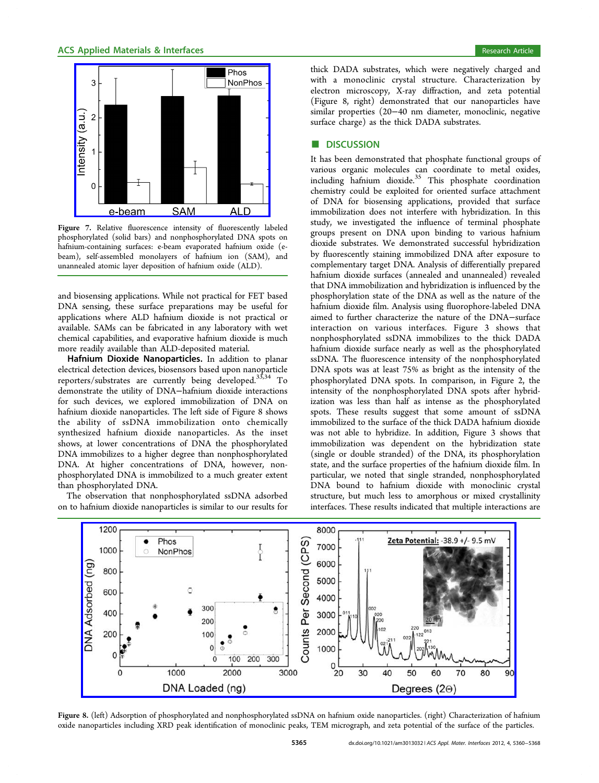<u>e-beam</u>

<span id="page-5-0"></span>3

 $\overline{2}$ 

0

Intensity (a.u.



Figure 7. Relative fluorescence intensity of fluorescently labeled phos[phorylated \(solid bars\) and nonphosphorylated DNA spo](http://pubs.acs.org/action/showImage?doi=10.1021/am3013032&iName=master.img-007.png&w=199&h=155)ts on hafnium-containing surfaces: e-beam evaporated hafnium oxide (ebeam), self-assembled monolayers of hafnium ion (SAM), and unannealed atomic layer deposition of hafnium oxide (ALD).

**SAM** 

**ALD** 

and biosensing applications. While not practical for FET based DNA sensing, these surface preparations may be useful for applications where ALD hafnium dioxide is not practical or available. SAMs can be fabricated in any laboratory with wet chemical capabilities, and evaporative hafnium dioxide is much more readily available than ALD-deposited material.

Hafnium Dioxide Nanoparticles. In addition to planar electrical detection devices, biosensors based upon nanoparticle reporters/substrates are currently being developed.33,34 To demonstrate the utility of DNA−hafnium dioxide interactions for such devices, we explored immobilization of [DNA](#page-8-0) on hafnium dioxide nanoparticles. The left side of Figure 8 shows the ability of ssDNA immobilization onto chemically synthesized hafnium dioxide nanoparticles. As the inset shows, at lower concentrations of DNA the phosphorylated DNA immobilizes to a higher degree than nonphosphorylated DNA. At higher concentrations of DNA, however, nonphosphorylated DNA is immobilized to a much greater extent than phosphorylated DNA.

The observation that nonphosphorylated ssDNA adsorbed on to hafnium dioxide nanoparticles is similar to our results for

thick DADA substrates, which were negatively charged and with a monoclinic crystal structure. Characterization by electron microscopy, X-ray diffraction, and zeta potential (Figure 8, right) demonstrated that our nanoparticles have similar properties (20−40 nm diameter, monoclinic, negative surface charge) as the thick DADA substrates.

#### **DISCUSSION**

It has been demonstrated that phosphate functional groups of various organic molecules can coordinate to metal oxides, including hafnium dioxide.<sup>35</sup> This phosphate coordination chemistry could be exploited for oriented surface attachment of DNA for biosensing a[ppl](#page-8-0)ications, provided that surface immobilization does not interfere with hybridization. In this study, we investigated the influence of terminal phosphate groups present on DNA upon binding to various hafnium dioxide substrates. We demonstrated successful hybridization by fluorescently staining immobilized DNA after exposure to complementary target DNA. Analysis of differentially prepared hafnium dioxide surfaces (annealed and unannealed) revealed that DNA immobilization and hybridization is influenced by the phosphorylation state of the DNA as well as the nature of the hafnium dioxide film. Analysis using fluorophore-labeled DNA aimed to further characterize the nature of the DNA−surface interaction on various interfaces. Figure 3 shows that nonphosphorylated ssDNA immobilizes to the thick DADA hafnium dioxide surface nearly as well as the [ph](#page-2-0)osphorylated ssDNA. The fluorescence intensity of the nonphosphorylated DNA spots was at least 75% as bright as the intensity of the phosphorylated DNA spots. In comparison, in Figure 2, the intensity of the nonphosphorylated DNA spots after hybridization was less than half as intense as the phospho[ry](#page-2-0)lated spots. These results suggest that some amount of ssDNA immobilized to the surface of the thick DADA hafnium dioxide was not able to hybridize. In addition, Figure 3 shows that immobilization was dependent on the hybridization state (single or double stranded) of the DNA, its ph[os](#page-2-0)phorylation state, and the surface properties of the hafnium dioxide film. In particular, we noted that single stranded, nonphosphorylated DNA bound to hafnium dioxide with monoclinic crystal structure, but much less to amorphous or mixed crystallinity interfaces. These results indicated that multiple interactions are



Figure 8. [\(left\) Adsorption of phosphorylated and nonphosphorylated ssDNA on hafnium oxide nanoparticles. \(right\) Characterization of](http://pubs.acs.org/action/showImage?doi=10.1021/am3013032&iName=master.img-008.jpg&w=449&h=178) hafnium oxide nanoparticles including XRD peak identification of monoclinic peaks, TEM micrograph, and zeta potential of the surface of the particles.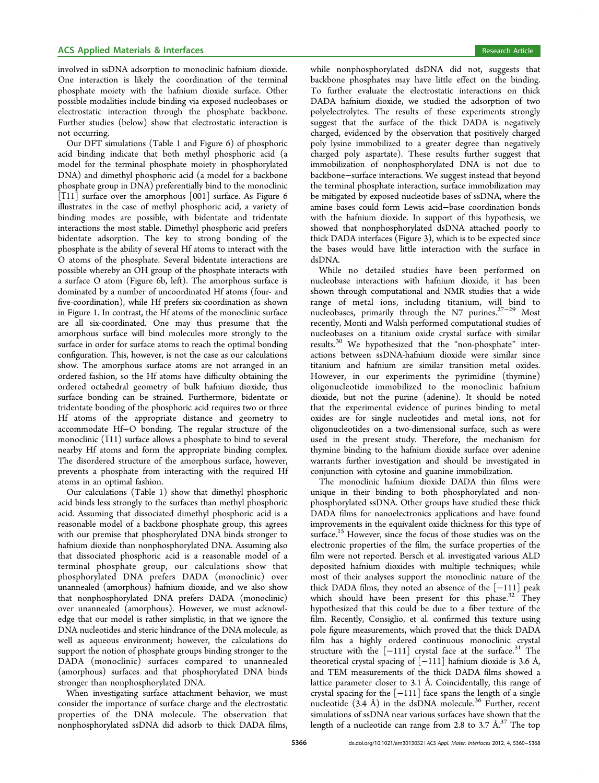involved in ssDNA adsorption to monoclinic hafnium dioxide. One interaction is likely the coordination of the terminal phosphate moiety with the hafnium dioxide surface. Other possible modalities include binding via exposed nucleobases or electrostatic interaction through the phosphate backbone. Further studies (below) show that electrostatic interaction is not occurring.

Our DFT simulations (Table 1 and Figure 6) of phosphoric acid binding indicate that both methyl phosphoric acid (a model for the terminal phosp[hat](#page-4-0)e moiety i[n](#page-4-0) phosphorylated DNA) and dimethyl phosphoric acid (a model for a backbone phosphate group in DNA) preferentially bind to the monoclinic  $\overline{111}$  surface over the amorphous  $\overline{001}$  surface. As Figure 6 illustrates in the case of methyl phosphoric acid, a variety of binding modes are possible, with bidentate and tridenta[te](#page-4-0) interactions the most stable. Dimethyl phosphoric acid prefers bidentate adsorption. The key to strong bonding of the phosphate is the ability of several Hf atoms to interact with the O atoms of the phosphate. Several bidentate interactions are possible whereby an OH group of the phosphate interacts with a surface O atom (Figure 6b, left). The amorphous surface is dominated by a number of uncoordinated Hf atoms (four- and five-coordination), while [Hf](#page-4-0) prefers six-coordination as shown in Figure 1. In contrast, the Hf atoms of the monoclinic surface are all six-coordinated. One may thus presume that the amorpho[us](#page-2-0) surface will bind molecules more strongly to the surface in order for surface atoms to reach the optimal bonding configuration. This, however, is not the case as our calculations show. The amorphous surface atoms are not arranged in an ordered fashion, so the Hf atoms have difficulty obtaining the ordered octahedral geometry of bulk hafnium dioxide, thus surface bonding can be strained. Furthermore, bidentate or tridentate bonding of the phosphoric acid requires two or three Hf atoms of the appropriate distance and geometry to accommodate Hf−O bonding. The regular structure of the monoclinic  $(T11)$  surface allows a phosphate to bind to several nearby Hf atoms and form the appropriate binding complex. The disordered structure of the amorphous surface, however, prevents a phosphate from interacting with the required Hf atoms in an optimal fashion.

Our calculations (Table 1) show that dimethyl phosphoric acid binds less strongly to the surfaces than methyl phosphoric acid. Assuming that dissoci[at](#page-4-0)ed dimethyl phosphoric acid is a reasonable model of a backbone phosphate group, this agrees with our premise that phosphorylated DNA binds stronger to hafnium dioxide than nonphosphorylated DNA. Assuming also that dissociated phosphoric acid is a reasonable model of a terminal phosphate group, our calculations show that phosphorylated DNA prefers DADA (monoclinic) over unannealed (amorphous) hafnium dioxide, and we also show that nonphosphorylated DNA prefers DADA (monoclinic) over unannealed (amorphous). However, we must acknowledge that our model is rather simplistic, in that we ignore the DNA nucleotides and steric hindrance of the DNA molecule, as well as aqueous environment; however, the calculations do support the notion of phosphate groups binding stronger to the DADA (monoclinic) surfaces compared to unannealed (amorphous) surfaces and that phosphorylated DNA binds stronger than nonphosphorylated DNA.

When investigating surface attachment behavior, we must consider the importance of surface charge and the electrostatic properties of the DNA molecule. The observation that nonphosphorylated ssDNA did adsorb to thick DADA films,

while nonphosphorylated dsDNA did not, suggests that backbone phosphates may have little effect on the binding. To further evaluate the electrostatic interactions on thick DADA hafnium dioxide, we studied the adsorption of two polyelectrolytes. The results of these experiments strongly suggest that the surface of the thick DADA is negatively charged, evidenced by the observation that positively charged poly lysine immobilized to a greater degree than negatively charged poly aspartate). These results further suggest that immobilization of nonphosphorylated DNA is not due to backbone−surface interactions. We suggest instead that beyond the terminal phosphate interaction, surface immobilization may be mitigated by exposed nucleotide bases of ssDNA, where the amine bases could form Lewis acid−base coordination bonds with the hafnium dioxide. In support of this hypothesis, we showed that nonphosphorylated dsDNA attached poorly to thick DADA interfaces (Figure 3), which is to be expected since the bases would have little interaction with the surface in dsDNA.

While no detailed studi[es](#page-2-0) have been performed on nucleobase interactions with hafnium dioxide, it has been shown through computational and NMR studies that a wide range of metal ions, including titanium, will bind to nucleobases, primarily through the N7 purines.<sup>27-29</sup> Most recently, Monti and Walsh performed computational studies of nucleobases on a titanium oxide crystal surface [wit](#page-7-0)[h](#page-8-0) similar results.<sup>30</sup> We hypothesized that the "non-phosphate" interactions between ssDNA-hafnium dioxide were similar since titaniu[m](#page-8-0) and hafnium are similar transition metal oxides. However, in our experiments the pyrimidine (thymine) oligonucleotide immobilized to the monoclinic hafnium dioxide, but not the purine (adenine). It should be noted that the experimental evidence of purines binding to metal oxides are for single nucleotides and metal ions, not for oligonucleotides on a two-dimensional surface, such as were used in the present study. Therefore, the mechanism for thymine binding to the hafnium dioxide surface over adenine warrants further investigation and should be investigated in conjunction with cytosine and guanine immobilization.

The monoclinic hafnium dioxide DADA thin films were unique in their binding to both phosphorylated and nonphosphorylated ssDNA. Other groups have studied these thick DADA films for nanoelectronics applications and have found improvements in the equivalent oxide thickness for this type of surface.<sup>15</sup> However, since the focus of those studies was on the electronic properties of the film, the surface properties of the film we[re](#page-7-0) not reported. Bersch et al. investigated various ALD deposited hafnium dioxides with multiple techniques; while most of their analyses support the monoclinic nature of the thick DADA films, they noted an absence of the [−111] peak which should have been present for this phase. $32$  They hypothesized that this could be due to a fiber texture of the film. Recently, Consiglio, et al. confirmed this text[ure](#page-8-0) using pole figure measurements, which proved that the thick DADA film has a highly ordered continuous monoclinic crystal structure with the  $[-111]$  crystal face at the surface.<sup>31</sup> The theoretical crystal spacing of  $[-111]$  hafnium dioxide is 3.6 Å, and TEM measurements of the thick DADA films sh[ow](#page-8-0)ed a lattice parameter closer to 3.1 Å. Coincidentally, this range of crystal spacing for the [−111] face spans the length of a single nucleotide  $(3.4 \text{ Å})$  in the dsDNA molecule.<sup>36</sup> Further, recent simulations of ssDNA near various surfaces have shown that the length of a nucleotide can range from 2.8 t[o 3](#page-8-0).7  $\text{\AA}^{37}$  The top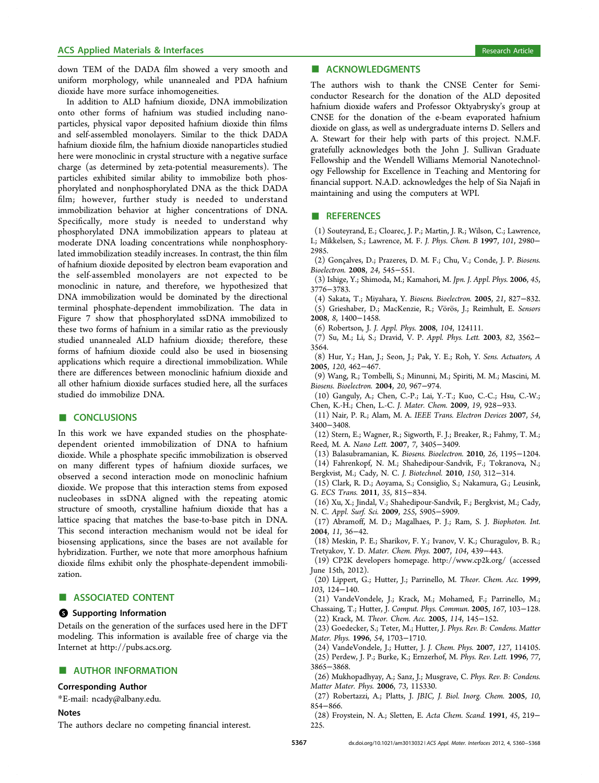<span id="page-7-0"></span>down TEM of the DADA film showed a very smooth and uniform morphology, while unannealed and PDA hafnium dioxide have more surface inhomogeneities.

In addition to ALD hafnium dioxide, DNA immobilization onto other forms of hafnium was studied including nanoparticles, physical vapor deposited hafnium dioxide thin films and self-assembled monolayers. Similar to the thick DADA hafnium dioxide film, the hafnium dioxide nanoparticles studied here were monoclinic in crystal structure with a negative surface charge (as determined by zeta-potential measurements). The particles exhibited similar ability to immobilize both phosphorylated and nonphosphorylated DNA as the thick DADA film; however, further study is needed to understand immobilization behavior at higher concentrations of DNA. Specifically, more study is needed to understand why phosphorylated DNA immobilization appears to plateau at moderate DNA loading concentrations while nonphosphorylated immobilization steadily increases. In contrast, the thin film of hafnium dioxide deposited by electron beam evaporation and the self-assembled monolayers are not expected to be monoclinic in nature, and therefore, we hypothesized that DNA immobilization would be dominated by the directional terminal phosphate-dependent immobilization. The data in Figure 7 show that phosphorylated ssDNA immobilized to these two forms of hafnium in a similar ratio as the previously studied [u](#page-5-0)nannealed ALD hafnium dioxide; therefore, these forms of hafnium dioxide could also be used in biosensing applications which require a directional immobilization. While there are differences between monoclinic hafnium dioxide and all other hafnium dioxide surfaces studied here, all the surfaces studied do immobilize DNA.

#### ■ **CONCLUSIONS**

In this work we have expanded studies on the phosphatedependent oriented immobilization of DNA to hafnium dioxide. While a phosphate specific immobilization is observed on many different types of hafnium dioxide surfaces, we observed a second interaction mode on monoclinic hafnium dioxide. We propose that this interaction stems from exposed nucleobases in ssDNA aligned with the repeating atomic structure of smooth, crystalline hafnium dioxide that has a lattice spacing that matches the base-to-base pitch in DNA. This second interaction mechanism would not be ideal for biosensing applications, since the bases are not available for hybridization. Further, we note that more amorphous hafnium dioxide films exhibit only the phosphate-dependent immobilization.

# ■ ASSOCIATED CONTENT

# **6** Supporting Information

Details on the generation of the surfaces used here in the DFT modeling. This information is available free of charge via the Internet at http://pubs.acs.org.

#### **E** AUTH[OR INFORMATIO](http://pubs.acs.org)N

#### Corresponding Author

\*E-mail: ncady@albany.edu.

#### Notes

The auth[ors declare no com](mailto:ncady@albany.edu)peting financial interest.

# ■ ACKNOWLEDGMENTS

The authors wish to thank the CNSE Center for Semiconductor Research for the donation of the ALD deposited hafnium dioxide wafers and Professor Oktyabrysky's group at CNSE for the donation of the e-beam evaporated hafnium dioxide on glass, as well as undergraduate interns D. Sellers and A. Stewart for their help with parts of this project. N.M.F. gratefully acknowledges both the John J. Sullivan Graduate Fellowship and the Wendell Williams Memorial Nanotechnology Fellowship for Excellence in Teaching and Mentoring for financial support. N.A.D. acknowledges the help of Sia Najafi in maintaining and using the computers at WPI.

#### ■ REFERENCES

(1) Souteyrand, E.; Cloarec, J. P.; Martin, J. R.; Wilson, C.; Lawrence, I.; Mikkelsen, S.; Lawrence, M. F. J. Phys. Chem. B 1997, 101, 2980− 2985.

(2) Gonçalves, D.; Prazeres, D. M. F.; Chu, V.; Conde, J. P. Biosens. Bioelectron. 2008, 24, 545−551.

(3) Ishige, Y.; Shimoda, M.; Kamahori, M. Jpn. J. Appl. Phys. 2006, 45, 3776−3783.

(4) Sakata, T.; Miyahara, Y. Biosens. Bioelectron. 2005, 21, 827−832. (5) Grieshaber, D.; MacKenzie, R.; Vörös, J.; Reimhult, E. Sensors 2008, 8, 1400−1458.

(6) Robertson, J. J. Appl. Phys. 2008, 104, 124111.

(7) Su, M.; Li, S.; Dravid, V. P. Appl. Phys. Lett. 2003, 82, 3562− 3564.

(8) Hur, Y.; Han, J.; Seon, J.; Pak, Y. E.; Roh, Y. Sens. Actuators, A 2005, 120, 462−467.

(9) Wang, R.; Tombelli, S.; Minunni, M.; Spiriti, M. M.; Mascini, M. Biosens. Bioelectron. 2004, 20, 967−974.

(10) Ganguly, A.; Chen, C.-P.; Lai, Y.-T.; Kuo, C.-C.; Hsu, C.-W.; Chen, K.-H.; Chen, L.-C. J. Mater. Chem. 2009, 19, 928−933.

(11) Nair, P. R.; Alam, M. A. IEEE Trans. Electron Devices 2007, 54, 3400−3408.

(12) Stern, E.; Wagner, R.; Sigworth, F. J.; Breaker, R.; Fahmy, T. M.; Reed, M. A. Nano Lett. 2007, 7, 3405−3409.

(13) Balasubramanian, K. Biosens. Bioelectron. 2010, 26, 1195−1204.

(14) Fahrenkopf, N. M.; Shahedipour-Sandvik, F.; Tokranova, N.;

Bergkvist, M.; Cady, N. C. J. Biotechnol. 2010, 150, 312−314.

(15) Clark, R. D.; Aoyama, S.; Consiglio, S.; Nakamura, G.; Leusink, G. ECS Trans. 2011, 35, 815−834.

(16) Xu, X.; Jindal, V.; Shahedipour-Sandvik, F.; Bergkvist, M.; Cady, N. C. Appl. Surf. Sci. 2009, 255, 5905−5909.

(17) Abramoff, M. D.; Magalhaes, P. J.; Ram, S. J. Biophoton. Int. 2004, 11, 36−42.

(18) Meskin, P. E.; Sharikov, F. Y.; Ivanov, V. K.; Churagulov, B. R.; Tretyakov, Y. D. Mater. Chem. Phys. 2007, 104, 439−443.

(19) CP2K developers homepage. http://www.cp2k.org/ (accessed June 15th, 2012).

(20) Lippert, G.; Hutter, J.; Parrinello, M. [Theor. Chem. A](http://www.cp2k.org/)cc. 1999, 103, 124−140.

(21) VandeVondele, J.; Krack, M.; Mohamed, F.; Parrinello, M.; Chassaing, T.; Hutter, J. Comput. Phys. Commun. 2005, 167, 103−128.

(22) Krack, M. Theor. Chem. Acc. 2005, 114, 145−152.

(23) Goedecker, S.; Teter, M.; Hutter, J. Phys. Rev. B: Condens. Matter Mater. Phys. 1996, 54, 1703−1710.

(24) VandeVondele, J.; Hutter, J. J. Chem. Phys. 2007, 127, 114105. (25) Perdew, J. P.; Burke, K.; Ernzerhof, M. Phys. Rev. Lett. 1996, 77, 3865−3868.

(26) Mukhopadhyay, A.; Sanz, J.; Musgrave, C. Phys. Rev. B: Condens. Matter Mater. Phys. 2006, 73, 115330.

(27) Robertazzi, A.; Platts, J. JBIC, J. Biol. Inorg. Chem. 2005, 10, 854−866.

(28) Froystein, N. A.; Sletten, E. Acta Chem. Scand. 1991, 45, 219− 225.